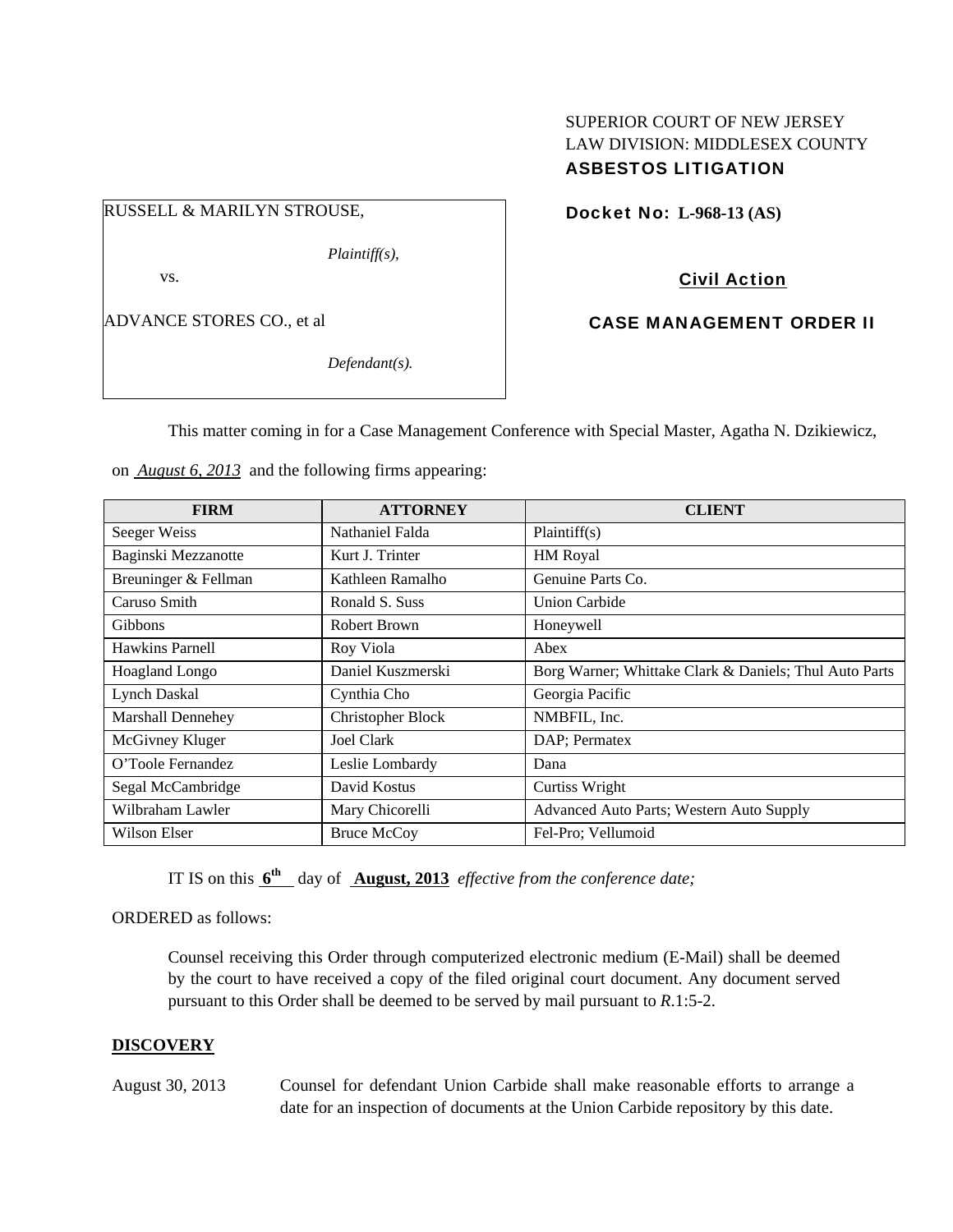## SUPERIOR COURT OF NEW JERSEY LAW DIVISION: MIDDLESEX COUNTY ASBESTOS LITIGATION

RUSSELL & MARILYN STROUSE,

*Plaintiff(s),* 

vs.

ADVANCE STORES CO., et al

*Defendant(s).* 

Docket No: **L-968-13 (AS)** 

Civil Action

CASE MANAGEMENT ORDER II

This matter coming in for a Case Management Conference with Special Master, Agatha N. Dzikiewicz,

on *August 6, 2013* and the following firms appearing:

| <b>FIRM</b>          | <b>ATTORNEY</b>          | <b>CLIENT</b>                                          |
|----------------------|--------------------------|--------------------------------------------------------|
| Seeger Weiss         | Nathaniel Falda          | Plaintiff(s)                                           |
| Baginski Mezzanotte  | Kurt J. Trinter          | HM Royal                                               |
| Breuninger & Fellman | Kathleen Ramalho         | Genuine Parts Co.                                      |
| Caruso Smith         | Ronald S. Suss           | <b>Union Carbide</b>                                   |
| <b>Gibbons</b>       | Robert Brown             | Honeywell                                              |
| Hawkins Parnell      | Roy Viola                | Abex                                                   |
| Hoagland Longo       | Daniel Kuszmerski        | Borg Warner; Whittake Clark & Daniels; Thul Auto Parts |
| <b>Lynch Daskal</b>  | Cynthia Cho              | Georgia Pacific                                        |
| Marshall Dennehey    | <b>Christopher Block</b> | NMBFIL, Inc.                                           |
| McGivney Kluger      | Joel Clark               | DAP; Permatex                                          |
| O'Toole Fernandez    | Leslie Lombardy          | Dana                                                   |
| Segal McCambridge    | David Kostus             | Curtiss Wright                                         |
| Wilbraham Lawler     | Mary Chicorelli          | Advanced Auto Parts; Western Auto Supply               |
| Wilson Elser         | <b>Bruce McCoy</b>       | Fel-Pro; Vellumoid                                     |

IT IS on this **6th** day of **August, 2013** *effective from the conference date;*

ORDERED as follows:

Counsel receiving this Order through computerized electronic medium (E-Mail) shall be deemed by the court to have received a copy of the filed original court document. Any document served pursuant to this Order shall be deemed to be served by mail pursuant to *R*.1:5-2.

## **DISCOVERY**

August 30, 2013 Counsel for defendant Union Carbide shall make reasonable efforts to arrange a date for an inspection of documents at the Union Carbide repository by this date.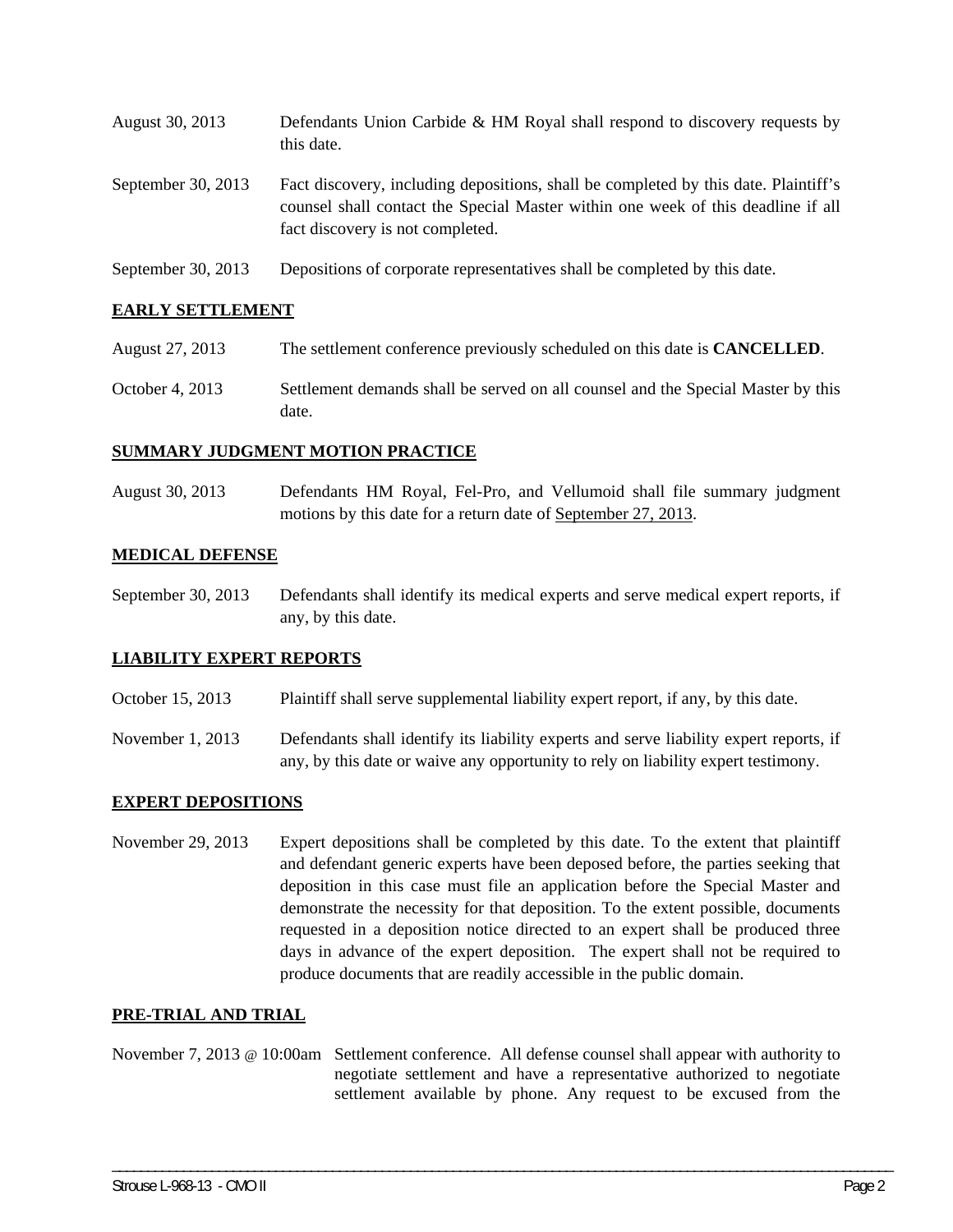| August 30, 2013      | Defendants Union Carbide & HM Royal shall respond to discovery requests by<br>this date.                                                                                                                    |
|----------------------|-------------------------------------------------------------------------------------------------------------------------------------------------------------------------------------------------------------|
| September 30, $2013$ | Fact discovery, including depositions, shall be completed by this date. Plaintiff's<br>counsel shall contact the Special Master within one week of this deadline if all<br>fact discovery is not completed. |
| September 30, 2013   | Depositions of corporate representatives shall be completed by this date.                                                                                                                                   |

## **EARLY SETTLEMENT**

- August 27, 2013 The settlement conference previously scheduled on this date is **CANCELLED**.
- October 4, 2013 Settlement demands shall be served on all counsel and the Special Master by this date.

#### **SUMMARY JUDGMENT MOTION PRACTICE**

August 30, 2013 Defendants HM Royal, Fel-Pro, and Vellumoid shall file summary judgment motions by this date for a return date of September 27, 2013.

#### **MEDICAL DEFENSE**

September 30, 2013 Defendants shall identify its medical experts and serve medical expert reports, if any, by this date.

#### **LIABILITY EXPERT REPORTS**

- October 15, 2013 Plaintiff shall serve supplemental liability expert report, if any, by this date.
- November 1, 2013 Defendants shall identify its liability experts and serve liability expert reports, if any, by this date or waive any opportunity to rely on liability expert testimony.

## **EXPERT DEPOSITIONS**

November 29, 2013 Expert depositions shall be completed by this date. To the extent that plaintiff and defendant generic experts have been deposed before, the parties seeking that deposition in this case must file an application before the Special Master and demonstrate the necessity for that deposition. To the extent possible, documents requested in a deposition notice directed to an expert shall be produced three days in advance of the expert deposition. The expert shall not be required to produce documents that are readily accessible in the public domain.

## **PRE-TRIAL AND TRIAL**

November 7, 2013 @ 10:00am Settlement conference. All defense counsel shall appear with authority to negotiate settlement and have a representative authorized to negotiate settlement available by phone. Any request to be excused from the

\_\_\_\_\_\_\_\_\_\_\_\_\_\_\_\_\_\_\_\_\_\_\_\_\_\_\_\_\_\_\_\_\_\_\_\_\_\_\_\_\_\_\_\_\_\_\_\_\_\_\_\_\_\_\_\_\_\_\_\_\_\_\_\_\_\_\_\_\_\_\_\_\_\_\_\_\_\_\_\_\_\_\_\_\_\_\_\_\_\_\_\_\_\_\_\_\_\_\_\_\_\_\_\_\_\_\_\_\_\_